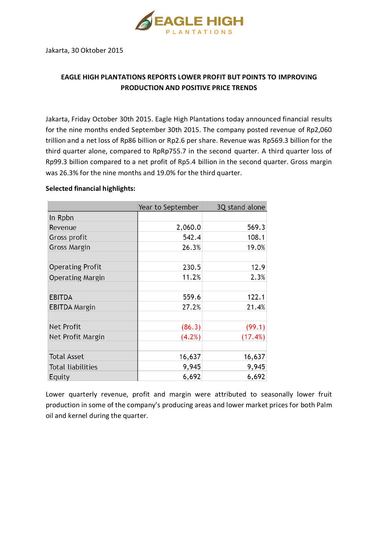

Jakarta, 30 Oktober 2015

## **EAGLE HIGH PLANTATIONS REPORTS LOWER PROFIT BUT POINTS TO IMPROVING PRODUCTION AND POSITIVE PRICE TRENDS**

Jakarta, Friday October 30th 2015. Eagle High Plantations today announced financial results for the nine months ended September 30th 2015. The company posted revenue of Rp2,060 trillion and a net loss of Rp86 billion or Rp2.6 per share. Revenue was Rp569.3 billion for the third quarter alone, compared to RpRp755.7 in the second quarter. A third quarter loss of Rp99.3 billion compared to a net profit of Rp5.4 billion in the second quarter. Gross margin was 26.3% for the nine months and 19.0% for the third quarter.

## **Selected financial highlights:**

|                          | Year to September | 3Q stand alone |
|--------------------------|-------------------|----------------|
| In Rpbn                  |                   |                |
| Revenue                  | 2,060.0           | 569.3          |
| Gross profit             | 542.4             | 108.1          |
| <b>Gross Margin</b>      | 26.3%             | 19.0%          |
|                          |                   |                |
| <b>Operating Profit</b>  | 230.5             | 12.9           |
| <b>Operating Margin</b>  | 11.2%             | 2.3%           |
|                          |                   |                |
| <b>EBITDA</b>            | 559.6             | 122.1          |
| <b>EBITDA Margin</b>     | 27.2%             | 21.4%          |
|                          |                   |                |
| <b>Net Profit</b>        | (86.3)            | (99.1)         |
| Net Profit Margin        | (4.2%)            | (17.4%)        |
|                          |                   |                |
| <b>Total Asset</b>       | 16,637            | 16,637         |
| <b>Total liabilities</b> | 9,945             | 9,945          |
| Equity                   | 6,692             | 6,692          |

Lower quarterly revenue, profit and margin were attributed to seasonally lower fruit production in some of the company's producing areas and lower market prices for both Palm oil and kernel during the quarter.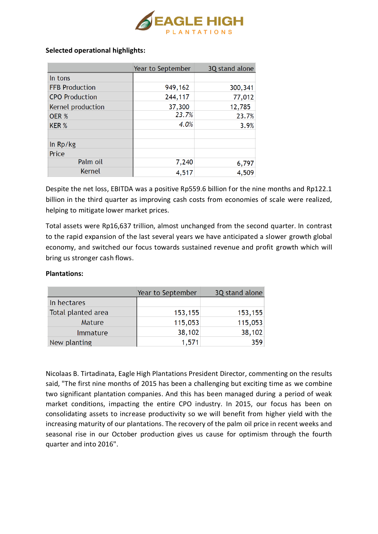

## **Selected operational highlights:**

|                       | Year to September | 3Q stand alone |
|-----------------------|-------------------|----------------|
| In tons               |                   |                |
| <b>FFB Production</b> | 949,162           | 300,341        |
| <b>CPO Production</b> | 244,117           | 77,012         |
| Kernel production     | 37,300            | 12,785         |
| OER %                 | 23.7%             | 23.7%          |
| KER %                 | 4.0%              | 3.9%           |
|                       |                   |                |
| In Rp/kg              |                   |                |
| Price                 |                   |                |
| Palm oil              | 7,240             | 6,797          |
| Kernel                | 4,517             | 4,509          |

Despite the net loss, EBITDA was a positive Rp559.6 billion for the nine months and Rp122.1 billion in the third quarter as improving cash costs from economies of scale were realized, helping to mitigate lower market prices.

Total assets were Rp16,637 trillion, almost unchanged from the second quarter. In contrast to the rapid expansion of the last several years we have anticipated a slower growth global economy, and switched our focus towards sustained revenue and profit growth which will bring us stronger cash flows.

## **Plantations:**

|                    | Year to September | 3Q stand alone |
|--------------------|-------------------|----------------|
| In hectares        |                   |                |
| Total planted area | 153,155           | 153,155        |
| <b>Mature</b>      | 115,053           | 115,053        |
| <i>Immature</i>    | 38,102            | 38,102         |
| New planting       | 1,571             | 359            |

Nicolaas B. Tirtadinata, Eagle High Plantations President Director, commenting on the results said, "The first nine months of 2015 has been a challenging but exciting time as we combine two significant plantation companies. And this has been managed during a period of weak market conditions, impacting the entire CPO industry. In 2015, our focus has been on consolidating assets to increase productivity so we will benefit from higher yield with the increasing maturity of our plantations. The recovery of the palm oil price in recent weeks and seasonal rise in our October production gives us cause for optimism through the fourth quarter and into 2016".